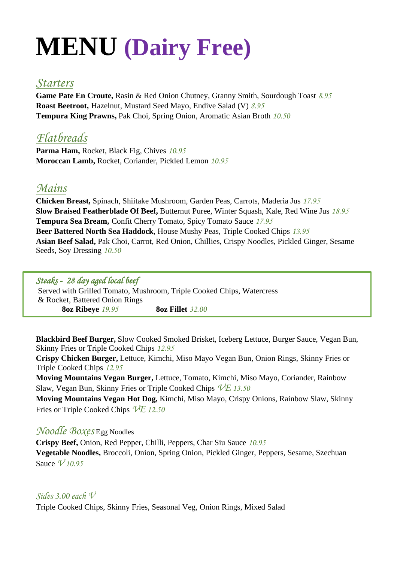# **MENU (Dairy Free)**

## *Starters*

**Game Pate En Croute,** Rasin & Red Onion Chutney, Granny Smith, Sourdough Toast *8.95* **Roast Beetroot,** Hazelnut, Mustard Seed Mayo, Endive Salad (V) *8.95* **Tempura King Prawns,** Pak Choi, Spring Onion, Aromatic Asian Broth *10.50*

# *Flatbreads*

**Parma Ham,** Rocket, Black Fig, Chives *10.95* **Moroccan Lamb,** Rocket, Coriander, Pickled Lemon *10.95*

# *Mains*

**Chicken Breast,** Spinach, Shiitake Mushroom, Garden Peas, Carrots, Maderia Jus *17.95* **Slow Braised Featherblade Of Beef,** Butternut Puree, Winter Squash, Kale, Red Wine Jus *18.95* **Tempura Sea Bream,** Confit Cherry Tomato, Spicy Tomato Sauce *17.95* **Beer Battered North Sea Haddock**, House Mushy Peas, Triple Cooked Chips *13.95* **Asian Beef Salad,** Pak Choi, Carrot, Red Onion, Chillies, Crispy Noodles, Pickled Ginger, Sesame Seeds, Soy Dressing *10.50*

#### *Steaks - 28 day aged local beef*

Served with Grilled Tomato, Mushroom, Triple Cooked Chips, Watercress & Rocket, Battered Onion Rings **8oz Ribeye** *19.95* **8oz Fillet** *32.00*

**Blackbird Beef Burger,** Slow Cooked Smoked Brisket, Iceberg Lettuce, Burger Sauce, Vegan Bun, Skinny Fries or Triple Cooked Chips *12.95*

**Crispy Chicken Burger,** Lettuce, Kimchi, Miso Mayo Vegan Bun, Onion Rings, Skinny Fries or Triple Cooked Chips *12.95*

**Moving Mountains Vegan Burger,** Lettuce, Tomato, Kimchi, Miso Mayo, Coriander, Rainbow Slaw, Vegan Bun, Skinny Fries or Triple Cooked Chips *VE 13.50*

**Moving Mountains Vegan Hot Dog,** Kimchi, Miso Mayo, Crispy Onions, Rainbow Slaw, Skinny Fries or Triple Cooked Chips *VE 12.50*

## *Noodle Boxes* Egg Noodles

**Crispy Beef,** Onion, Red Pepper, Chilli, Peppers, Char Siu Sauce *10.95* **Vegetable Noodles,** Broccoli, Onion, Spring Onion, Pickled Ginger, Peppers, Sesame, Szechuan Sauce *V 10.95*

### *Sides 3.00 each V*

Triple Cooked Chips, Skinny Fries, Seasonal Veg, Onion Rings, Mixed Salad